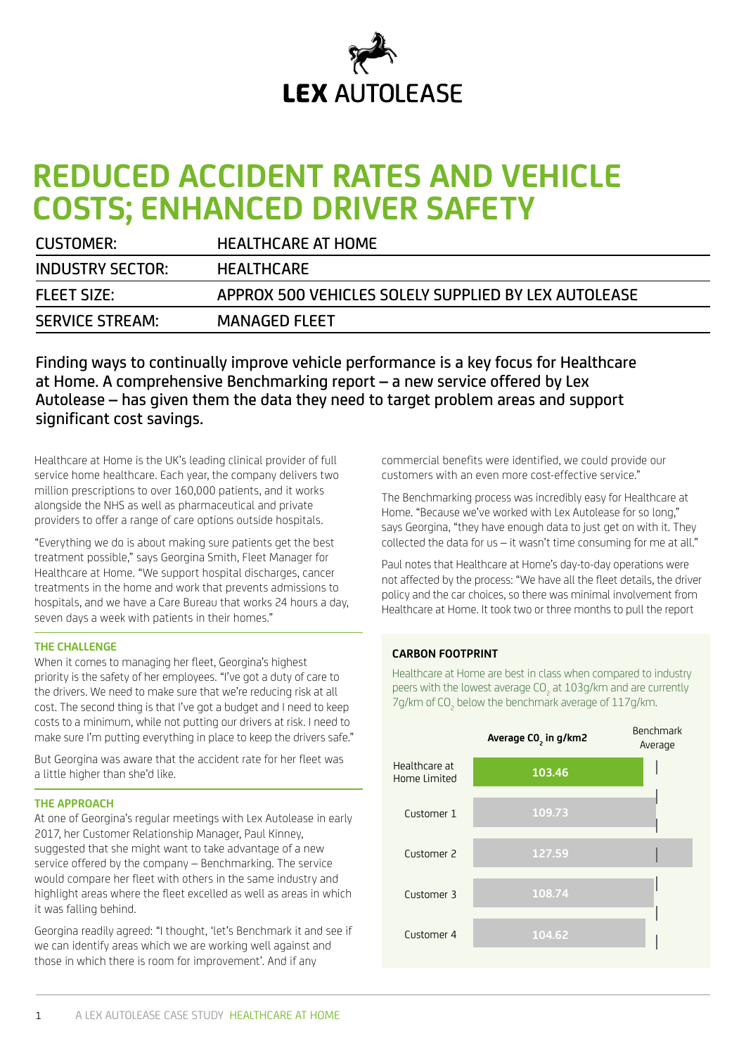

# **REDUCED ACCIDENT RATES AND VEHICLE COSTS; ENHANCED DRIVER SAFETY**

| <b>CUSTOMER:</b>        | <b>HEALTHCARE AT HOME</b>                            |
|-------------------------|------------------------------------------------------|
| <b>INDUSTRY SECTOR:</b> | <b>HEALTHCARE</b>                                    |
| <b>FLEET SIZE:</b>      | APPROX 500 VEHICLES SOLELY SUPPLIED BY LEX AUTOLEASE |
| <b>SERVICE STREAM:</b>  | <b>MANAGED FLEET</b>                                 |

Finding ways to continually improve vehicle performance is a key focus for Healthcare at Home. A comprehensive Benchmarking report – a new service offered by Lex Autolease – has given them the data they need to target problem areas and support significant cost savings.

Healthcare at Home is the UK's leading clinical provider of full service home healthcare. Each year, the company delivers two million prescriptions to over 160,000 patients, and it works alongside the NHS as well as pharmaceutical and private providers to offer a range of care options outside hospitals.

"Everything we do is about making sure patients get the best treatment possible," says Georgina Smith, Fleet Manager for Healthcare at Home. "We support hospital discharges, cancer treatments in the home and work that prevents admissions to hospitals, and we have a Care Bureau that works 24 hours a day, seven days a week with patients in their homes."

#### **THE CHALLENGE**

When it comes to managing her fleet, Georgina's highest priority is the safety of her employees. "I've got a duty of care to the drivers. We need to make sure that we're reducing risk at all cost. The second thing is that I've got a budget and I need to keep costs to a minimum, while not putting our drivers at risk. I need to make sure I'm putting everything in place to keep the drivers safe."

But Georgina was aware that the accident rate for her fleet was a little higher than she'd like.

## **THE APPROACH**

At one of Georgina's regular meetings with Lex Autolease in early 2017, her Customer Relationship Manager, Paul Kinney, suggested that she might want to take advantage of a new service offered by the company – Benchmarking. The service would compare her fleet with others in the same industry and highlight areas where the fleet excelled as well as areas in which it was falling behind.

Georgina readily agreed: "I thought, 'let's Benchmark it and see if we can identify areas which we are working well against and those in which there is room for improvement'. And if any

commercial benefits were identified, we could provide our customers with an even more cost-effective service."

The Benchmarking process was incredibly easy for Healthcare at Home. "Because we've worked with Lex Autolease for so long," says Georgina, "they have enough data to just get on with it. They collected the data for us – it wasn't time consuming for me at all."

Paul notes that Healthcare at Home's day-to-day operations were not affected by the process: "We have all the fleet details, the driver policy and the car choices, so there was minimal involvement from Healthcare at Home. It took two or three months to pull the report

#### **CARBON FOOTPRINT**

Healthcare at Home are best in class when compared to industry peers with the lowest average CO<sub>2</sub> at 103g/km and are currently 7g/km of CO<sub>2</sub> below the benchmark average of 117g/km.